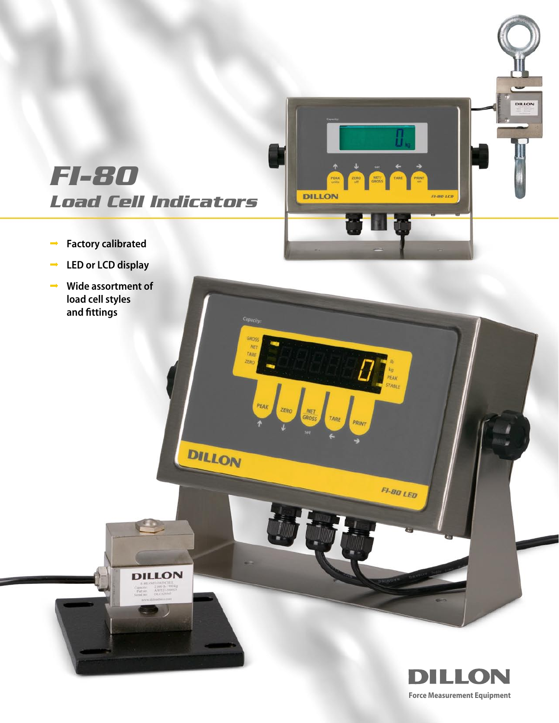

kg<br>PEAK<br>STABLE

**FI-80 LED** 

TARE PRINT

# **FI-80 Load Cell Indicators**

**CO** 

**DILLON** 

 $\rightarrow$  )

**GROS**  $NE$ TARE ZERO

PEAK

DILLON

- ∞ Factory calibrated
- LED or LCD display
- ∞ Wide assortment of load cell styles and fittings